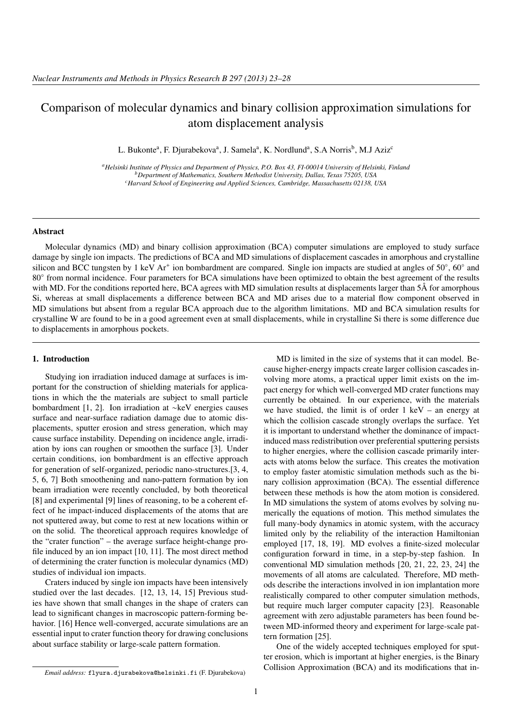# Comparison of molecular dynamics and binary collision approximation simulations for atom displacement analysis

L. Bukonte<sup>a</sup>, F. Djurabekova<sup>a</sup>, J. Samela<sup>a</sup>, K. Nordlund<sup>a</sup>, S.A Norris<sup>b</sup>, M.J Aziz<sup>c</sup>

*<sup>a</sup>Helsinki Institute of Physics and Department of Physics, P.O. Box 43, FI-00014 University of Helsinki, Finland <sup>b</sup>Department of Mathematics, Southern Methodist University, Dallas, Texas 75205, USA <sup>c</sup>Harvard School of Engineering and Applied Sciences, Cambridge, Massachusetts 02138, USA*

# Abstract

Molecular dynamics (MD) and binary collision approximation (BCA) computer simulations are employed to study surface damage by single ion impacts. The predictions of BCA and MD simulations of displacement cascades in amorphous and crystalline silicon and BCC tungsten by 1 keV Ar<sup>+</sup> ion bombardment are compared. Single ion impacts are studied at angles of  $50^{\circ}$ ,  $60^{\circ}$  and 80° from normal incidence. Four parameters for BCA simulations have been optimized to obtain the best agreement of the results with MD. For the conditions reported here, BCA agrees with MD simulation results at displacements larger than  $5\text{\AA}$  for amorphous Si, whereas at small displacements a difference between BCA and MD arises due to a material flow component observed in MD simulations but absent from a regular BCA approach due to the algorithm limitations. MD and BCA simulation results for crystalline W are found to be in a good agreement even at small displacements, while in crystalline Si there is some difference due to displacements in amorphous pockets.

#### 1. Introduction

Studying ion irradiation induced damage at surfaces is important for the construction of shielding materials for applications in which the the materials are subject to small particle bombardment [1, 2]. Ion irradiation at ∼keV energies causes surface and near-surface radiation damage due to atomic displacements, sputter erosion and stress generation, which may cause surface instability. Depending on incidence angle, irradiation by ions can roughen or smoothen the surface [3]. Under certain conditions, ion bombardment is an effective approach for generation of self-organized, periodic nano-structures.[3, 4, 5, 6, 7] Both smoothening and nano-pattern formation by ion beam irradiation were recently concluded, by both theoretical [8] and experimental [9] lines of reasoning, to be a coherent effect of he impact-induced displacements of the atoms that are not sputtered away, but come to rest at new locations within or on the solid. The theoretical approach requires knowledge of the "crater function" – the average surface height-change profile induced by an ion impact [10, 11]. The most direct method of determining the crater function is molecular dynamics (MD) studies of individual ion impacts.

Craters induced by single ion impacts have been intensively studied over the last decades. [12, 13, 14, 15] Previous studies have shown that small changes in the shape of craters can lead to significant changes in macroscopic pattern-forming behavior. [16] Hence well-converged, accurate simulations are an essential input to crater function theory for drawing conclusions about surface stability or large-scale pattern formation.

MD is limited in the size of systems that it can model. Because higher-energy impacts create larger collision cascades involving more atoms, a practical upper limit exists on the impact energy for which well-converged MD crater functions may currently be obtained. In our experience, with the materials we have studied, the limit is of order 1 keV – an energy at which the collision cascade strongly overlaps the surface. Yet it is important to understand whether the dominance of impactinduced mass redistribution over preferential sputtering persists to higher energies, where the collision cascade primarily interacts with atoms below the surface. This creates the motivation to employ faster atomistic simulation methods such as the binary collision approximation (BCA). The essential difference between these methods is how the atom motion is considered. In MD simulations the system of atoms evolves by solving numerically the equations of motion. This method simulates the full many-body dynamics in atomic system, with the accuracy limited only by the reliability of the interaction Hamiltonian employed [17, 18, 19]. MD evolves a finite-sized molecular configuration forward in time, in a step-by-step fashion. In conventional MD simulation methods [20, 21, 22, 23, 24] the movements of all atoms are calculated. Therefore, MD methods describe the interactions involved in ion implantation more realistically compared to other computer simulation methods, but require much larger computer capacity [23]. Reasonable agreement with zero adjustable parameters has been found between MD-informed theory and experiment for large-scale pattern formation [25].

One of the widely accepted techniques employed for sputter erosion, which is important at higher energies, is the Binary Collision Approximation (BCA) and its modifications that in-

*Email address:* flyura.djurabekova@helsinki.fi (F. Djurabekova)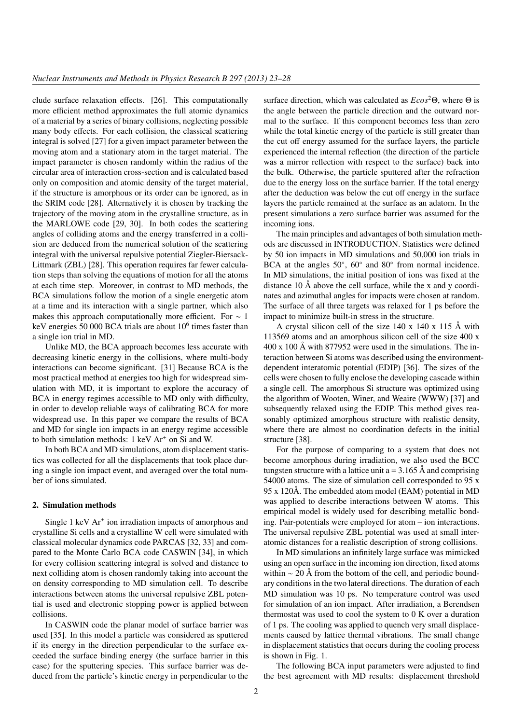clude surface relaxation effects. [26]. This computationally more efficient method approximates the full atomic dynamics of a material by a series of binary collisions, neglecting possible many body effects. For each collision, the classical scattering integral is solved [27] for a given impact parameter between the moving atom and a stationary atom in the target material. The impact parameter is chosen randomly within the radius of the circular area of interaction cross-section and is calculated based only on composition and atomic density of the target material, if the structure is amorphous or its order can be ignored, as in the SRIM code [28]. Alternatively it is chosen by tracking the trajectory of the moving atom in the crystalline structure, as in the MARLOWE code [29, 30]. In both codes the scattering angles of colliding atoms and the energy transferred in a collision are deduced from the numerical solution of the scattering integral with the universal repulsive potential Ziegler-Biersack-Littmark (ZBL) [28]. This operation requires far fewer calculation steps than solving the equations of motion for all the atoms at each time step. Moreover, in contrast to MD methods, the BCA simulations follow the motion of a single energetic atom at a time and its interaction with a single partner, which also makes this approach computationally more efficient. For  $\sim 1$ keV energies 50 000 BCA trials are about  $10^6$  times faster than a single ion trial in MD.

Unlike MD, the BCA approach becomes less accurate with decreasing kinetic energy in the collisions, where multi-body interactions can become significant. [31] Because BCA is the most practical method at energies too high for widespread simulation with MD, it is important to explore the accuracy of BCA in energy regimes accessible to MD only with difficulty, in order to develop reliable ways of calibrating BCA for more widespread use. In this paper we compare the results of BCA and MD for single ion impacts in an energy regime accessible to both simulation methods:  $1 \text{ keV} \text{ Ar}^+$  on Si and W.

In both BCA and MD simulations, atom displacement statistics was collected for all the displacements that took place during a single ion impact event, and averaged over the total number of ions simulated.

# 2. Simulation methods

Single 1 keV Ar<sup>+</sup> ion irradiation impacts of amorphous and crystalline Si cells and a crystalline W cell were simulated with classical molecular dynamics code PARCAS [32, 33] and compared to the Monte Carlo BCA code CASWIN [34], in which for every collision scattering integral is solved and distance to next colliding atom is chosen randomly taking into account the on density corresponding to MD simulation cell. To describe interactions between atoms the universal repulsive ZBL potential is used and electronic stopping power is applied between collisions.

In CASWIN code the planar model of surface barrier was used [35]. In this model a particle was considered as sputtered if its energy in the direction perpendicular to the surface exceeded the surface binding energy (the surface barrier in this case) for the sputtering species. This surface barrier was deduced from the particle's kinetic energy in perpendicular to the

surface direction, which was calculated as *Ecos*2Θ, where Θ is the angle between the particle direction and the outward normal to the surface. If this component becomes less than zero while the total kinetic energy of the particle is still greater than the cut off energy assumed for the surface layers, the particle experienced the internal reflection (the direction of the particle was a mirror reflection with respect to the surface) back into the bulk. Otherwise, the particle sputtered after the refraction due to the energy loss on the surface barrier. If the total energy after the deduction was below the cut off energy in the surface layers the particle remained at the surface as an adatom. In the present simulations a zero surface barrier was assumed for the incoming ions.

The main principles and advantages of both simulation methods are discussed in INTRODUCTION. Statistics were defined by 50 ion impacts in MD simulations and 50,000 ion trials in BCA at the angles 50°, 60° and 80° from normal incidence. In MD simulations, the initial position of ions was fixed at the distance 10 Å above the cell surface, while the x and y coordinates and azimuthal angles for impacts were chosen at random. The surface of all three targets was relaxed for 1 ps before the impact to minimize built-in stress in the structure.

A crystal silicon cell of the size 140 x 140 x 115 Å with 113569 atoms and an amorphous silicon cell of the size 400 x 400 x 100 Å with 877952 were used in the simulations. The interaction between Si atoms was described using the environmentdependent interatomic potential (EDIP) [36]. The sizes of the cells were chosen to fully enclose the developing cascade within a single cell. The amorphous Si structure was optimized using the algorithm of Wooten, Winer, and Weaire (WWW) [37] and subsequently relaxed using the EDIP. This method gives reasonably optimized amorphous structure with realistic density, where there are almost no coordination defects in the initial structure [38].

For the purpose of comparing to a system that does not become amorphous during irradiation, we also used the BCC tungsten structure with a lattice unit  $a = 3.165$  Å and comprising 54000 atoms. The size of simulation cell corresponded to 95 x 95 x 120Å. The embedded atom model (EAM) potential in MD was applied to describe interactions between W atoms. This empirical model is widely used for describing metallic bonding. Pair-potentials were employed for atom – ion interactions. The universal repulsive ZBL potential was used at small interatomic distances for a realistic description of strong collisions.

In MD simulations an infinitely large surface was mimicked using an open surface in the incoming ion direction, fixed atoms within  $\sim 20$  Å from the bottom of the cell, and periodic boundary conditions in the two lateral directions. The duration of each MD simulation was 10 ps. No temperature control was used for simulation of an ion impact. After irradiation, a Berendsen thermostat was used to cool the system to 0 K over a duration of 1 ps. The cooling was applied to quench very small displacements caused by lattice thermal vibrations. The small change in displacement statistics that occurs during the cooling process is shown in Fig. 1.

The following BCA input parameters were adjusted to find the best agreement with MD results: displacement threshold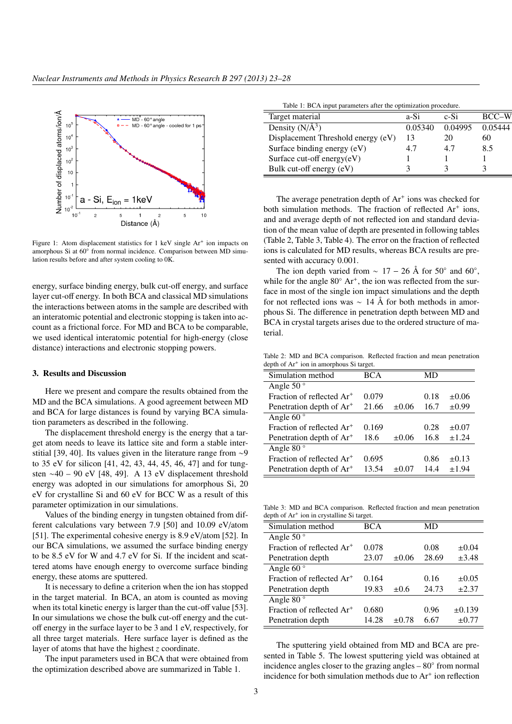$\equiv$ 



Figure 1: Atom displacement statistics for 1 keV single Ar<sup>+</sup> ion impacts on amorphous Si at  $60^{\circ}$  from normal incidence. Comparison between MD simulation results before and after system cooling to 0K.

energy, surface binding energy, bulk cut-off energy, and surface layer cut-off energy. In both BCA and classical MD simulations the interactions between atoms in the sample are described with an interatomic potential and electronic stopping is taken into account as a frictional force. For MD and BCA to be comparable, we used identical interatomic potential for high-energy (close distance) interactions and electronic stopping powers.

### 3. Results and Discussion

Here we present and compare the results obtained from the MD and the BCA simulations. A good agreement between MD and BCA for large distances is found by varying BCA simulation parameters as described in the following.

The displacement threshold energy is the energy that a target atom needs to leave its lattice site and form a stable interstitial [39, 40]. Its values given in the literature range from ∼9 to 35 eV for silicon [41, 42, 43, 44, 45, 46, 47] and for tungsten ∼40 – 90 eV [48, 49]. A 13 eV displacement threshold energy was adopted in our simulations for amorphous Si, 20 eV for crystalline Si and 60 eV for BCC W as a result of this parameter optimization in our simulations.

Values of the binding energy in tungsten obtained from different calculations vary between 7.9 [50] and 10.09 eV/atom [51]. The experimental cohesive energy is 8.9 eV/atom [52]. In our BCA simulations, we assumed the surface binding energy to be 8.5 eV for W and 4.7 eV for Si. If the incident and scattered atoms have enough energy to overcome surface binding energy, these atoms are sputtered.

It is necessary to define a criterion when the ion has stopped in the target material. In BCA, an atom is counted as moving when its total kinetic energy is larger than the cut-off value [53]. In our simulations we chose the bulk cut-off energy and the cutoff energy in the surface layer to be 3 and 1 eV, respectively, for all three target materials. Here surface layer is defined as the layer of atoms that have the highest *z* coordinate.

The input parameters used in BCA that were obtained from the optimization described above are summarized in Table 1.

|  | Table 1: BCA input parameters after the optimization procedure. |  |
|--|-----------------------------------------------------------------|--|
|  |                                                                 |  |
|  |                                                                 |  |

| Target material                    | a-Si    | c-Si    | BCC-W   |
|------------------------------------|---------|---------|---------|
| Density $(N/A^3)$                  | 0.05340 | 0.04995 | 0.05444 |
| Displacement Threshold energy (eV) | 13      | 20      | 60      |
| Surface binding energy (eV)        | 4.7     | 4.7     | 8.5     |
| Surface cut-off energy $(eV)$      |         |         |         |
| Bulk cut-off energy (eV)           |         |         |         |

The average penetration depth of  $Ar^+$  ions was checked for both simulation methods. The fraction of reflected Ar<sup>+</sup> ions, and and average depth of not reflected ion and standard deviation of the mean value of depth are presented in following tables (Table 2, Table 3, Table 4). The error on the fraction of reflected ions is calculated for MD results, whereas BCA results are presented with accuracy 0.001.

The ion depth varied from  $\sim 17 - 26$  Å for 50° and 60°, while for the angle 80° Ar<sup>+</sup>, the ion was reflected from the surface in most of the single ion impact simulations and the depth for not reflected ions was ∼ 14 Å for both methods in amorphous Si. The difference in penetration depth between MD and BCA in crystal targets arises due to the ordered structure of material.

Table 2: MD and BCA comparison. Reflected fraction and mean penetration depth of Ar<sup>+</sup> ion in amorphous Si target.

| Simulation method                     | <b>BCA</b> |            | MD   |            |
|---------------------------------------|------------|------------|------|------------|
| Angle 50 $\degree$                    |            |            |      |            |
| Fraction of reflected Ar <sup>+</sup> | 0.079      |            | 0.18 | $\pm 0.06$ |
| Penetration depth of Ar <sup>+</sup>  | 21.66      | $\pm 0.06$ | 16.7 | $\pm 0.99$ |
| Angle 60 $\degree$                    |            |            |      |            |
| Fraction of reflected Ar <sup>+</sup> | 0.169      |            | 0.28 | $\pm 0.07$ |
| Penetration depth of Ar <sup>+</sup>  | 18.6       | $\pm 0.06$ | 16.8 | $\pm 1.24$ |
| Angle 80 $^{\circ}$                   |            |            |      |            |
| Fraction of reflected Ar <sup>+</sup> | 0.695      |            | 0.86 | $\pm 0.13$ |
| Penetration depth of Ar <sup>+</sup>  | 13.54      | $+0.07$    | 14.4 | ±1.94      |

Table 3: MD and BCA comparison. Reflected fraction and mean penetration depth of Ar<sup>+</sup> ion in crystalline Si target.

| Simulation method                     | <b>BCA</b> |            | MD    |             |
|---------------------------------------|------------|------------|-------|-------------|
| Angle 50 $\degree$                    |            |            |       |             |
| Fraction of reflected Ar <sup>+</sup> | 0.078      |            | 0.08  | $\pm 0.04$  |
| Penetration depth                     | 23.07      | $\pm 0.06$ | 28.69 | $\pm 3.48$  |
| Angle 60 $\degree$                    |            |            |       |             |
| Fraction of reflected Ar <sup>+</sup> | 0.164      |            | 0.16  | $\pm 0.05$  |
| Penetration depth                     | 19.83      | $\pm 0.6$  | 24.73 | $\pm 2.37$  |
| Angle 80 $^{\circ}$                   |            |            |       |             |
| Fraction of reflected Ar <sup>+</sup> | 0.680      |            | 0.96  | $\pm 0.139$ |
| Penetration depth                     | 14.28      | $\pm 0.78$ | 6.67  | $\pm 0.77$  |

The sputtering yield obtained from MD and BCA are presented in Table 5. The lowest sputtering yield was obtained at incidence angles closer to the grazing angles – 80◦ from normal incidence for both simulation methods due to Ar<sup>+</sup> ion reflection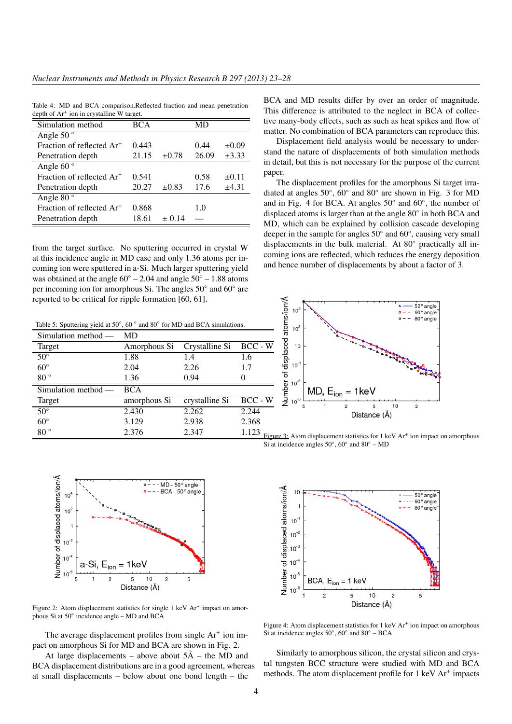Table 4: MD and BCA comparison.Reflected fraction and mean penetration depth of Ar<sup>+</sup> ion in crystalline W target.

| Simulation method                     | <b>BCA</b> |            | MD    |            |
|---------------------------------------|------------|------------|-------|------------|
| Angle 50 $^{\circ}$                   |            |            |       |            |
| Fraction of reflected Ar <sup>+</sup> | 0.443      |            | 0.44  | $\pm 0.09$ |
| Penetration depth                     | 21.15      | $\pm 0.78$ | 26.09 | $\pm 3.33$ |
| Angle 60 $\degree$                    |            |            |       |            |
| Fraction of reflected Ar <sup>+</sup> | 0.541      |            | 0.58  | $\pm 0.11$ |
| Penetration depth                     | 20.27      | $\pm 0.83$ | 17.6  | ±4.31      |
| Angle 80 $\degree$                    |            |            |       |            |
| Fraction of reflected Ar <sup>+</sup> | 0.868      |            | 1.0   |            |
| Penetration depth                     | 18.61      | $\pm 0.14$ |       |            |

from the target surface. No sputtering occurred in crystal W at this incidence angle in MD case and only 1.36 atoms per incoming ion were sputtered in a-Si. Much larger sputtering yield was obtained at the angle  $60° - 2.04$  and angle  $50° - 1.88$  atoms per incoming ion for amorphous Si. The angles 50° and 60° are reported to be critical for ripple formation [60, 61].

Table 5: Sputtering yield at 50 $^{\circ}$ , 60 $^{\circ}$  and 80 $^{\circ}$  for MD and BCA simulations.

| Simulation method - | MD           |                |              |
|---------------------|--------------|----------------|--------------|
| Target              | Amorphous Si | Crystalline Si | BCC - W      |
| $50^{\circ}$        | 1.88         | 1.4            | 1.6          |
| $60^\circ$          | 2.04         | 2.26           | 1.7          |
| $80^{\circ}$        | 1.36         | 0.94           | 0            |
| Simulation method - | <b>BCA</b>   |                |              |
| Target              | amorphous Si | crystalline Si | $BCC - W$    |
| $50^{\circ}$        | 2.430        | 2.262          | 2.244        |
| $60^\circ$          | 3.129        | 2.938          | 2.368        |
| $80^{\circ}$        | 2.376        | 2.347          | 1.123<br>Fig |



Figure 2: Atom displacement statistics for single 1 keV Ar<sup>+</sup> impact on amorphous Si at 50◦ incidence angle – MD and BCA

The average displacement profiles from single  $Ar<sup>+</sup>$  ion impact on amorphous Si for MD and BCA are shown in Fig. 2.

At large displacements – above about  $5\text{\AA}$  – the MD and BCA displacement distributions are in a good agreement, whereas at small displacements – below about one bond length – the

BCA and MD results differ by over an order of magnitude. This difference is attributed to the neglect in BCA of collective many-body effects, such as such as heat spikes and flow of matter. No combination of BCA parameters can reproduce this.

Displacement field analysis would be necessary to understand the nature of displacements of both simulation methods in detail, but this is not necessary for the purpose of the current paper.

The displacement profiles for the amorphous Si target irradiated at angles 50°, 60° and 80° are shown in Fig. 3 for MD and in Fig. 4 for BCA. At angles 50◦ and 60◦ , the number of displaced atoms is larger than at the angle 80◦ in both BCA and MD, which can be explained by collision cascade developing deeper in the sample for angles 50° and 60°, causing very small displacements in the bulk material. At 80◦ practically all incoming ions are reflected, which reduces the energy deposition and hence number of displacements by about a factor of 3.



Figure 3: Atom displacement statistics for 1 keV Ar<sup>+</sup> ion impact on amorphous Si at incidence angles  $50^\circ$ ,  $60^\circ$  and  $80^\circ$  – MD



Figure 4: Atom displacement statistics for 1 keV Ar<sup>+</sup> ion impact on amorphous Si at incidence angles  $50^\circ$ ,  $60^\circ$  and  $80^\circ$  – BCA

Similarly to amorphous silicon, the crystal silicon and crystal tungsten BCC structure were studied with MD and BCA methods. The atom displacement profile for 1 keV Ar<sup>+</sup> impacts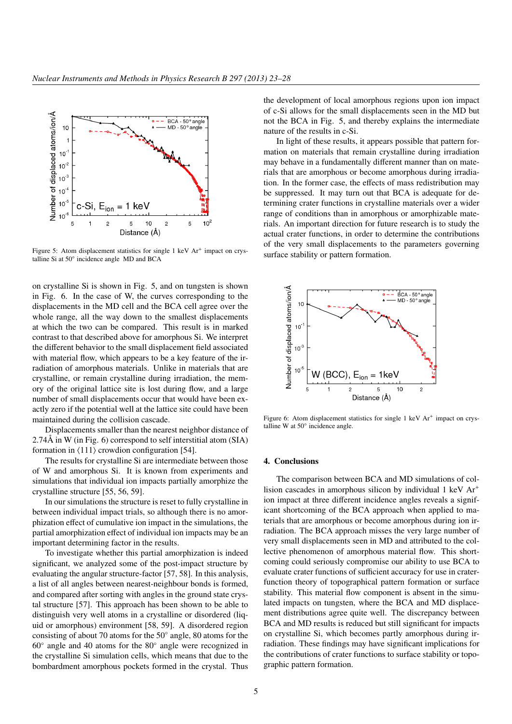

Figure 5: Atom displacement statistics for single  $1 \text{ keV } Ar^+$  impact on crystalline Si at 50◦ incidence angle MD and BCA

on crystalline Si is shown in Fig. 5, and on tungsten is shown in Fig. 6. In the case of W, the curves corresponding to the displacements in the MD cell and the BCA cell agree over the whole range, all the way down to the smallest displacements at which the two can be compared. This result is in marked contrast to that described above for amorphous Si. We interpret the different behavior to the small displacement field associated with material flow, which appears to be a key feature of the irradiation of amorphous materials. Unlike in materials that are crystalline, or remain crystalline during irradiation, the memory of the original lattice site is lost during flow, and a large number of small displacements occur that would have been exactly zero if the potential well at the lattice site could have been maintained during the collision cascade.

Displacements smaller than the nearest neighbor distance of 2.74Å in W (in Fig. 6) correspond to self interstitial atom (SIA) formation in  $\langle 111 \rangle$  crowdion configuration [54].

The results for crystalline Si are intermediate between those of W and amorphous Si. It is known from experiments and simulations that individual ion impacts partially amorphize the crystalline structure [55, 56, 59].

In our simulations the structure is reset to fully crystalline in between individual impact trials, so although there is no amorphization effect of cumulative ion impact in the simulations, the partial amorphization effect of individual ion impacts may be an important determining factor in the results.

To investigate whether this partial amorphization is indeed significant, we analyzed some of the post-impact structure by evaluating the angular structure-factor [57, 58]. In this analysis, a list of all angles between nearest-neighbour bonds is formed, and compared after sorting with angles in the ground state crystal structure [57]. This approach has been shown to be able to distinguish very well atoms in a crystalline or disordered (liquid or amorphous) environment [58, 59]. A disordered region consisting of about 70 atoms for the 50◦ angle, 80 atoms for the 60◦ angle and 40 atoms for the 80◦ angle were recognized in the crystalline Si simulation cells, which means that due to the bombardment amorphous pockets formed in the crystal. Thus

the development of local amorphous regions upon ion impact of c-Si allows for the small displacements seen in the MD but not the BCA in Fig. 5, and thereby explains the intermediate nature of the results in c-Si.

In light of these results, it appears possible that pattern formation on materials that remain crystalline during irradiation may behave in a fundamentally different manner than on materials that are amorphous or become amorphous during irradiation. In the former case, the effects of mass redistribution may be suppressed. It may turn out that BCA is adequate for determining crater functions in crystalline materials over a wider range of conditions than in amorphous or amorphizable materials. An important direction for future research is to study the actual crater functions, in order to determine the contributions of the very small displacements to the parameters governing surface stability or pattern formation.



Figure 6: Atom displacement statistics for single 1 keV Ar<sup>+</sup> impact on crystalline W at 50◦ incidence angle.

# 4. Conclusions

The comparison between BCA and MD simulations of collision cascades in amorphous silicon by individual 1 keV Ar<sup>+</sup> ion impact at three different incidence angles reveals a significant shortcoming of the BCA approach when applied to materials that are amorphous or become amorphous during ion irradiation. The BCA approach misses the very large number of very small displacements seen in MD and attributed to the collective phenomenon of amorphous material flow. This shortcoming could seriously compromise our ability to use BCA to evaluate crater functions of sufficient accuracy for use in craterfunction theory of topographical pattern formation or surface stability. This material flow component is absent in the simulated impacts on tungsten, where the BCA and MD displacement distributions agree quite well. The discrepancy between BCA and MD results is reduced but still significant for impacts on crystalline Si, which becomes partly amorphous during irradiation. These findings may have significant implications for the contributions of crater functions to surface stability or topographic pattern formation.